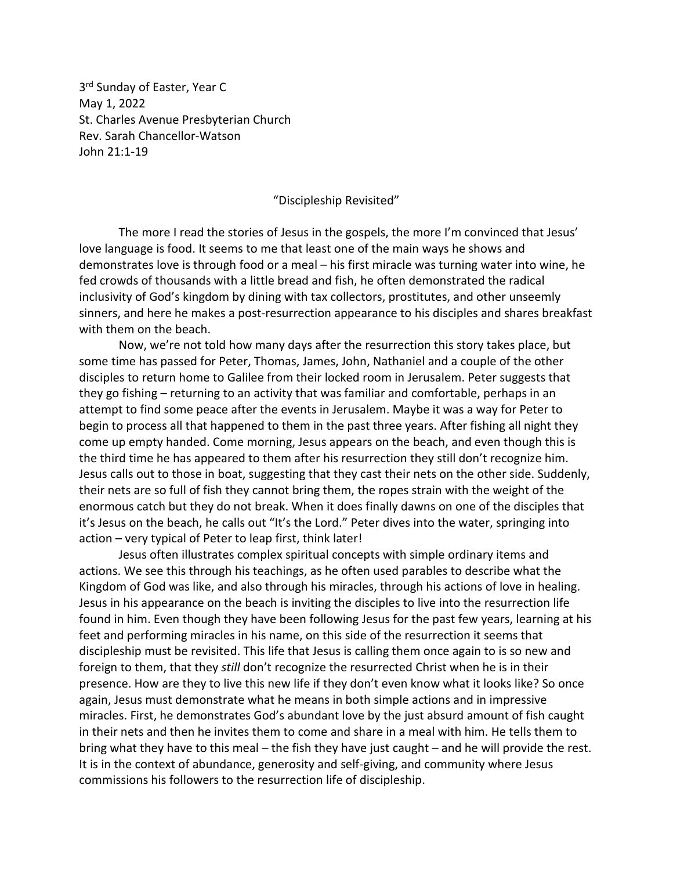3<sup>rd</sup> Sunday of Easter, Year C May 1, 2022 St. Charles Avenue Presbyterian Church Rev. Sarah Chancellor-Watson John 21:1-19

## "Discipleship Revisited"

The more I read the stories of Jesus in the gospels, the more I'm convinced that Jesus' love language is food. It seems to me that least one of the main ways he shows and demonstrates love is through food or a meal – his first miracle was turning water into wine, he fed crowds of thousands with a little bread and fish, he often demonstrated the radical inclusivity of God's kingdom by dining with tax collectors, prostitutes, and other unseemly sinners, and here he makes a post-resurrection appearance to his disciples and shares breakfast with them on the beach.

Now, we're not told how many days after the resurrection this story takes place, but some time has passed for Peter, Thomas, James, John, Nathaniel and a couple of the other disciples to return home to Galilee from their locked room in Jerusalem. Peter suggests that they go fishing – returning to an activity that was familiar and comfortable, perhaps in an attempt to find some peace after the events in Jerusalem. Maybe it was a way for Peter to begin to process all that happened to them in the past three years. After fishing all night they come up empty handed. Come morning, Jesus appears on the beach, and even though this is the third time he has appeared to them after his resurrection they still don't recognize him. Jesus calls out to those in boat, suggesting that they cast their nets on the other side. Suddenly, their nets are so full of fish they cannot bring them, the ropes strain with the weight of the enormous catch but they do not break. When it does finally dawns on one of the disciples that it's Jesus on the beach, he calls out "It's the Lord." Peter dives into the water, springing into action – very typical of Peter to leap first, think later!

Jesus often illustrates complex spiritual concepts with simple ordinary items and actions. We see this through his teachings, as he often used parables to describe what the Kingdom of God was like, and also through his miracles, through his actions of love in healing. Jesus in his appearance on the beach is inviting the disciples to live into the resurrection life found in him. Even though they have been following Jesus for the past few years, learning at his feet and performing miracles in his name, on this side of the resurrection it seems that discipleship must be revisited. This life that Jesus is calling them once again to is so new and foreign to them, that they *still* don't recognize the resurrected Christ when he is in their presence. How are they to live this new life if they don't even know what it looks like? So once again, Jesus must demonstrate what he means in both simple actions and in impressive miracles. First, he demonstrates God's abundant love by the just absurd amount of fish caught in their nets and then he invites them to come and share in a meal with him. He tells them to bring what they have to this meal – the fish they have just caught – and he will provide the rest. It is in the context of abundance, generosity and self-giving, and community where Jesus commissions his followers to the resurrection life of discipleship.